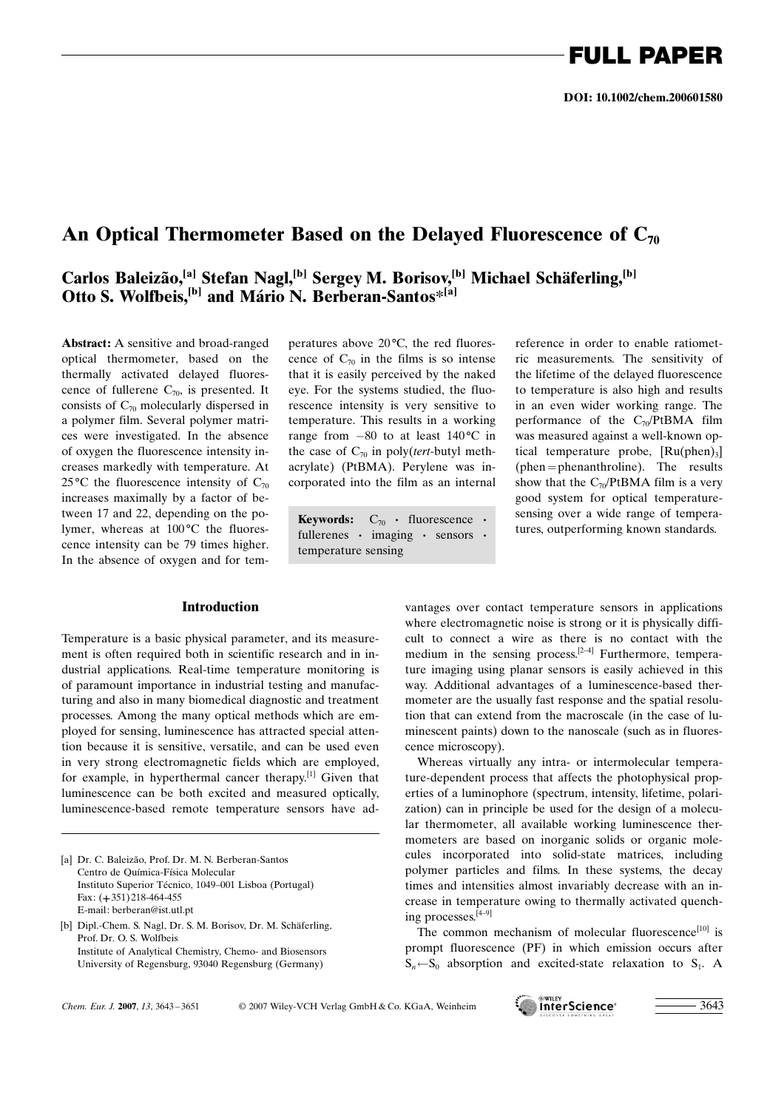## An Optical Thermometer Based on the Delayed Fluorescence of  $C_{70}$

## Carlos Baleizão,<sup>[a]</sup> Stefan Nagl,<sup>[b]</sup> Sergey M. Borisov,<sup>[b]</sup> Michael Schäferling,<sup>[b]</sup> Otto S. Wolfbeis,<sup>[b]</sup> and Mário N. Berberan-Santos\*<sup>[a]</sup>

Abstract: A sensitive and broad-ranged optical thermometer, based on the thermally activated delayed fluorescence of fullerene  $C_{70}$ , is presented. It consists of  $C_{70}$  molecularly dispersed in a polymer film. Several polymer matrices were investigated. In the absence of oxygen the fluorescence intensity increases markedly with temperature. At 25 °C the fluorescence intensity of  $C_{70}$ increases maximally by a factor of between 17 and 22, depending on the polymer, whereas at  $100^{\circ}$ C the fluorescence intensity can be 79 times higher. In the absence of oxygen and for tem-

### Introduction

Temperature is a basic physical parameter, and its measurement is often required both in scientific research and in industrial applications. Real-time temperature monitoring is of paramount importance in industrial testing and manufacturing and also in many biomedical diagnostic and treatment processes. Among the many optical methods which are employed for sensing, luminescence has attracted special attention because it is sensitive, versatile, and can be used even in very strong electromagnetic fields which are employed, for example, in hyperthermal cancer therapy.[1] Given that luminescence can be both excited and measured optically, luminescence-based remote temperature sensors have ad-

[a] Dr. C. Baleizão, Prof. Dr. M. N. Berberan-Santos Centro de Química-Física Molecular Instituto Superior Técnico, 1049-001 Lisboa (Portugal) Fax: (+351) 218-464-455 E-mail: berberan@ist.utl.pt

peratures above  $20^{\circ}$ C, the red fluorescence of  $C_{70}$  in the films is so intense that it is easily perceived by the naked eye. For the systems studied, the fluorescence intensity is very sensitive to temperature. This results in a working range from  $-80$  to at least  $140^{\circ}$ C in the case of  $C_{70}$  in poly(tert-butyl methacrylate) (PtBMA). Perylene was incorporated into the film as an internal

fullerenes · imaging · sensors · temperature sensing

reference in order to enable ratiometric measurements. The sensitivity of the lifetime of the delayed fluorescence to temperature is also high and results in an even wider working range. The performance of the  $C_{70}$ /PtBMA film was measured against a well-known optical temperature probe,  $[Ru(phen)_3]$ (phen=phenanthroline). The results show that the  $C_{70}$ /PtBMA film is a very good system for optical temperaturesensing over a wide range of tempera-**Keywords:**  $C_{70}$  · fluorescence · sensing over a wide range of temperare tures, outperforming known standards.

> vantages over contact temperature sensors in applications where electromagnetic noise is strong or it is physically difficult to connect a wire as there is no contact with the medium in the sensing process.<sup>[2-4]</sup> Furthermore, temperature imaging using planar sensors is easily achieved in this way. Additional advantages of a luminescence-based thermometer are the usually fast response and the spatial resolution that can extend from the macroscale (in the case of luminescent paints) down to the nanoscale (such as in fluorescence microscopy).

> Whereas virtually any intra- or intermolecular temperature-dependent process that affects the photophysical properties of a luminophore (spectrum, intensity, lifetime, polarization) can in principle be used for the design of a molecular thermometer, all available working luminescence thermometers are based on inorganic solids or organic molecules incorporated into solid-state matrices, including polymer particles and films. In these systems, the decay times and intensities almost invariably decrease with an increase in temperature owing to thermally activated quenching processes.[4–9]

> The common mechanism of molecular fluorescence<sup>[10]</sup> is prompt fluorescence (PF) in which emission occurs after  $S_n \leftarrow S_0$  absorption and excited-state relaxation to  $S_1$ . A



<sup>[</sup>b] Dipl.-Chem. S. Nagl, Dr. S. M. Borisov, Dr. M. Schäferling, Prof. Dr. O. S. Wolfbeis Institute of Analytical Chemistry, Chemo- and Biosensors University of Regensburg, 93040 Regensburg (Germany)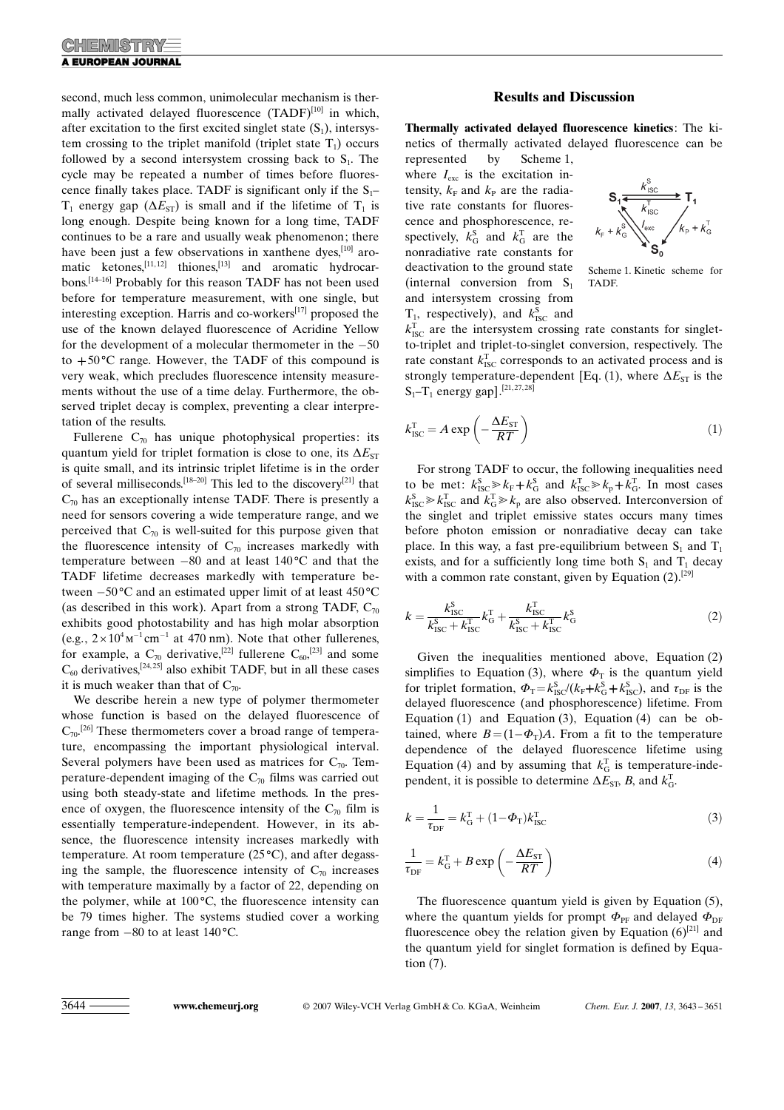second, much less common, unimolecular mechanism is thermally activated delayed fluorescence  $(TADF)^{[10]}$  in which, after excitation to the first excited singlet state  $(S_1)$ , intersystem crossing to the triplet manifold (triplet state  $T_1$ ) occurs followed by a second intersystem crossing back to  $S<sub>1</sub>$ . The cycle may be repeated a number of times before fluorescence finally takes place. TADF is significant only if the  $S_1$ –  $T_1$  energy gap ( $\Delta E_{ST}$ ) is small and if the lifetime of  $T_1$  is long enough. Despite being known for a long time, TADF continues to be a rare and usually weak phenomenon; there have been just a few observations in xanthene dyes,<sup>[10]</sup> aromatic ketones,<sup>[11,12]</sup> thiones,<sup>[13]</sup> and aromatic hydrocarbons.[14–16] Probably for this reason TADF has not been used before for temperature measurement, with one single, but interesting exception. Harris and co-workers $[17]$  proposed the use of the known delayed fluorescence of Acridine Yellow for the development of a molecular thermometer in the  $-50$ to  $+50^{\circ}$ C range. However, the TADF of this compound is very weak, which precludes fluorescence intensity measurements without the use of a time delay. Furthermore, the observed triplet decay is complex, preventing a clear interpretation of the results.

Fullerene  $C_{70}$  has unique photophysical properties: its quantum yield for triplet formation is close to one, its  $\Delta E_{ST}$ is quite small, and its intrinsic triplet lifetime is in the order of several milliseconds.[18–20] This led to the discovery[21] that  $C_{70}$  has an exceptionally intense TADF. There is presently a need for sensors covering a wide temperature range, and we perceived that  $C_{70}$  is well-suited for this purpose given that the fluorescence intensity of  $C_{70}$  increases markedly with temperature between  $-80$  and at least  $140^{\circ}$ C and that the TADF lifetime decreases markedly with temperature between  $-50^{\circ}$ C and an estimated upper limit of at least 450 $^{\circ}$ C (as described in this work). Apart from a strong TADF,  $C_{70}$ exhibits good photostability and has high molar absorption (e.g.,  $2 \times 10^4 \text{m}^{-1} \text{cm}^{-1}$  at 470 nm). Note that other fullerenes, for example, a  $C_{70}$  derivative,<sup>[22]</sup> fullerene  $C_{60}$ ,<sup>[23]</sup> and some  $C_{60}$  derivatives,<sup>[24,25]</sup> also exhibit TADF, but in all these cases it is much weaker than that of  $C_{70}$ .

We describe herein a new type of polymer thermometer whose function is based on the delayed fluorescence of  $C_{70}$ <sup>[26]</sup> These thermometers cover a broad range of temperature, encompassing the important physiological interval. Several polymers have been used as matrices for  $C_{70}$ . Temperature-dependent imaging of the  $C_{70}$  films was carried out using both steady-state and lifetime methods. In the presence of oxygen, the fluorescence intensity of the  $C_{70}$  film is essentially temperature-independent. However, in its absence, the fluorescence intensity increases markedly with temperature. At room temperature  $(25^{\circ}C)$ , and after degassing the sample, the fluorescence intensity of  $C_{70}$  increases with temperature maximally by a factor of 22, depending on the polymer, while at  $100^{\circ}$ C, the fluorescence intensity can be 79 times higher. The systems studied cover a working range from  $-80$  to at least  $140^{\circ}$ C.

### Results and Discussion

Thermally activated delayed fluorescence kinetics: The kinetics of thermally activated delayed fluorescence can be represented by Scheme 1,

where  $I_{\text{exc}}$  is the excitation intensity,  $k_F$  and  $k_P$  are the radiative rate constants for fluorescence and phosphorescence, respectively,  $k_{\text{G}}^{\text{s}}$  and  $k_{\text{G}}^{\text{T}}$  are the nonradiative rate constants for deactivation to the ground state (internal conversion from  $S_1$ and intersystem crossing from  $T_1$ , respectively), and  $k_{\text{ISC}}^{\text{S}}$  and



Scheme 1. Kinetic scheme for TADF.

 $k_{\text{ISC}}^{\text{T}}$  are the intersystem crossing rate constants for singletto-triplet and triplet-to-singlet conversion, respectively. The rate constant  $k_{\text{ISC}}^{\text{T}}$  corresponds to an activated process and is strongly temperature-dependent [Eq. (1), where  $\Delta E_{ST}$  is the  $S_1 - T_1$  energy gap].<sup>[21,27,28]</sup>

$$
k_{\rm{ISC}}^{\rm{T}} = A \exp\left(-\frac{\Delta E_{\rm{ST}}}{RT}\right) \tag{1}
$$

For strong TADF to occur, the following inequalities need to be met:  $k_{\text{ISC}}^{\text{S}} \gg k_{\text{F}} + k_{\text{G}}^{\text{S}}$  and  $k_{\text{ISC}}^{\text{T}} \gg k_{\text{p}} + k_{\text{G}}^{\text{T}}$ . In most cases  $k_{\text{ISC}}^{\text{S}} \ge k_{\text{ISC}}^{\text{T}}$  and  $k_{\text{G}}^{\text{T}} \ge k_{\text{p}}$  are also observed. Interconversion of the singlet and triplet emissive states occurs many times before photon emission or nonradiative decay can take place. In this way, a fast pre-equilibrium between  $S_1$  and  $T_1$ exists, and for a sufficiently long time both  $S_1$  and  $T_1$  decay with a common rate constant, given by Equation  $(2)$ .<sup>[29]</sup>

$$
k = \frac{k_{\text{ISC}}^{\text{S}}}{k_{\text{ISC}}^{\text{S}} + k_{\text{ISC}}^{\text{T}}} k_{\text{G}}^{\text{T}} + \frac{k_{\text{ISC}}^{\text{T}}}{k_{\text{ISC}}^{\text{S}} + k_{\text{ISC}}^{\text{T}}} k_{\text{G}}^{\text{S}}
$$
(2)

Given the inequalities mentioned above, Equation (2) simplifies to Equation (3), where  $\Phi$ <sub>T</sub> is the quantum yield for triplet formation,  $\Phi_{\rm T} = k_{\rm ISC}^{\rm S} / (k_{\rm F} + k_{\rm G}^{\rm S} + k_{\rm ISC}^{\rm S})$ , and  $\tau_{\rm DF}$  is the delayed fluorescence (and phosphorescence) lifetime. From Equation (1) and Equation (3), Equation (4) can be obtained, where  $B = (1 - \Phi_{T})A$ . From a fit to the temperature dependence of the delayed fluorescence lifetime using Equation (4) and by assuming that  $k_G^T$  is temperature-independent, it is possible to determine  $\Delta E_{\rm ST}$ , B, and  $k_{\rm G}^{\rm T}$ .

$$
k = \frac{1}{\tau_{\rm DF}} = k_{\rm G}^{\rm T} + (1 - \Phi_{\rm T})k_{\rm ISC}^{\rm T}
$$
 (3)

$$
\frac{1}{\tau_{\rm DF}} = k_{\rm G}^{\rm T} + B \exp\left(-\frac{\Delta E_{\rm ST}}{RT}\right) \tag{4}
$$

The fluorescence quantum yield is given by Equation (5), where the quantum yields for prompt  $\Phi_{\text{PE}}$  and delayed  $\Phi_{\text{DE}}$ fluorescence obey the relation given by Equation  $(6)^{[21]}$  and the quantum yield for singlet formation is defined by Equation (7).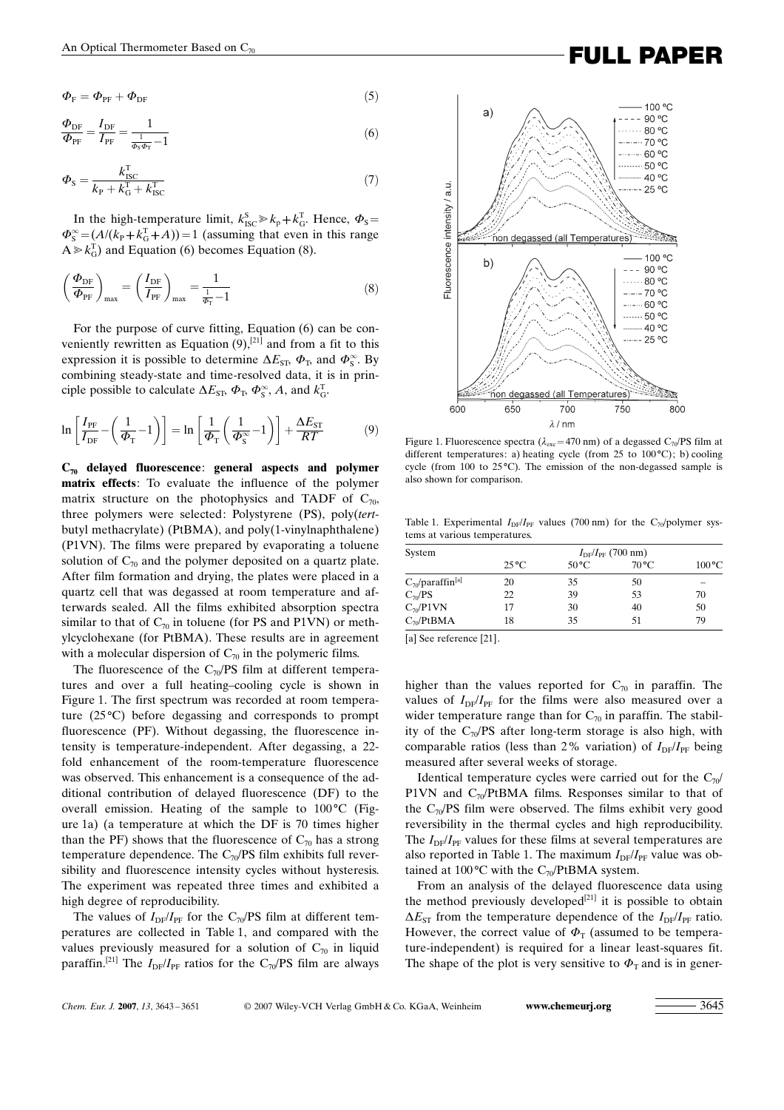$$
\Phi_{\rm F} = \Phi_{\rm PF} + \Phi_{\rm DF} \tag{5}
$$

$$
\frac{\Phi_{\rm DF}}{\Phi_{\rm PF}} = \frac{I_{\rm DF}}{I_{\rm PF}} = \frac{1}{\frac{1}{\Phi_{\rm s}\Phi_{\rm T}} - 1} \tag{6}
$$

$$
\Phi_{\rm S} = \frac{k_{\rm ISC}^{\rm T}}{k_{\rm P} + k_{\rm G}^{\rm T} + k_{\rm ISC}^{\rm T}}
$$
\n(7)

In the high-temperature limit,  $k_{\text{ISC}}^S \gg k_p + k_G^T$ . Hence,  $\Phi_S =$  $\Phi_{\rm S}^{\infty} = (A/(k_{\rm P} + k_{\rm G}^{\rm T} + A)) = 1$  (assuming that even in this range  $A \ge k_G^T$  and Equation (6) becomes Equation (8).

$$
\left(\frac{\Phi_{\rm DF}}{\Phi_{\rm PF}}\right)_{\rm max} = \left(\frac{I_{\rm DF}}{I_{\rm PF}}\right)_{\rm max} = \frac{1}{\frac{1}{\Phi_{\rm T}} - 1} \tag{8}
$$

For the purpose of curve fitting, Equation (6) can be conveniently rewritten as Equation  $(9)$ ,<sup>[21]</sup> and from a fit to this expression it is possible to determine  $\Delta E_{\rm ST}$ ,  $\Phi_{\rm T}$ , and  $\Phi_{\rm S}^{\infty}$ . By combining steady-state and time-resolved data, it is in principle possible to calculate  $\Delta E_{\rm SP}$ ,  $\Phi_{\rm T}$ ,  $\Phi_{\rm S}^{\infty}$ , A, and  $k_{\rm G}^{\rm T}$ .

$$
\ln\left[\frac{I_{\rm PF}}{I_{\rm DF}} - \left(\frac{1}{\Phi_{\rm T}} - 1\right)\right] = \ln\left[\frac{1}{\Phi_{\rm T}} \left(\frac{1}{\Phi_{\rm S}^{\infty}} - 1\right)\right] + \frac{\Delta E_{\rm ST}}{RT}
$$
(9)

 $C_{70}$  delayed fluorescence: general aspects and polymer matrix effects: To evaluate the influence of the polymer matrix structure on the photophysics and TADF of  $C_{70}$ , three polymers were selected: Polystyrene (PS), poly(tertbutyl methacrylate) (PtBMA), and poly(1-vinylnaphthalene) (P1VN). The films were prepared by evaporating a toluene solution of  $C_{70}$  and the polymer deposited on a quartz plate. After film formation and drying, the plates were placed in a quartz cell that was degassed at room temperature and afterwards sealed. All the films exhibited absorption spectra similar to that of  $C_{70}$  in toluene (for PS and P1VN) or methylcyclohexane (for PtBMA). These results are in agreement with a molecular dispersion of  $C_{70}$  in the polymeric films.

The fluorescence of the  $C_{70}/PS$  film at different temperatures and over a full heating–cooling cycle is shown in Figure 1. The first spectrum was recorded at room temperature  $(25^{\circ}C)$  before degassing and corresponds to prompt fluorescence (PF). Without degassing, the fluorescence intensity is temperature-independent. After degassing, a 22 fold enhancement of the room-temperature fluorescence was observed. This enhancement is a consequence of the additional contribution of delayed fluorescence (DF) to the overall emission. Heating of the sample to  $100^{\circ}$ C (Figure 1a) (a temperature at which the DF is 70 times higher than the PF) shows that the fluorescence of  $C_{70}$  has a strong temperature dependence. The  $C_{70}$ /PS film exhibits full reversibility and fluorescence intensity cycles without hysteresis. The experiment was repeated three times and exhibited a high degree of reproducibility.

The values of  $I_{DF}/I_{PF}$  for the C<sub>70</sub>/PS film at different temperatures are collected in Table 1, and compared with the values previously measured for a solution of  $C_{70}$  in liquid paraffin.<sup>[21]</sup> The  $I_{DF}/I_{PF}$  ratios for the C<sub>70</sub>/PS film are always



Figure 1. Fluorescence spectra ( $\lambda_{\text{exc}}$ =470 nm) of a degassed C<sub>70</sub>/PS film at different temperatures: a) heating cycle (from 25 to  $100^{\circ}$ C); b) cooling cycle (from 100 to  $25^{\circ}$ C). The emission of the non-degassed sample is also shown for comparison.

Table 1. Experimental  $I_{DF}/I_{PF}$  values (700 nm) for the C<sub>70</sub>/polymer systems at various temperatures.

| System                                | $I_{\rm DF}/I_{\rm PF}$ (700 nm) |                |                |                 |  |  |
|---------------------------------------|----------------------------------|----------------|----------------|-----------------|--|--|
|                                       | $25^{\circ}$ C                   | $50^{\circ}$ C | $70^{\circ}$ C | $100^{\circ}$ C |  |  |
| $C_{70}/\text{paraffin}^{\text{[a]}}$ | 20                               | 35             | 50             |                 |  |  |
| $C_{\gamma 0}$ /PS                    | 22                               | 39             | 53             | 70              |  |  |
| $C_{\gamma 0}$ P1VN                   | 17                               | 30             | 40             | 50              |  |  |
| $C_{70}$ /PtBMA                       | 18                               | 35             | 51             | 79              |  |  |

[a] See reference [21].

higher than the values reported for  $C_{70}$  in paraffin. The values of  $I_{DF}/I_{PF}$  for the films were also measured over a wider temperature range than for  $C_{70}$  in paraffin. The stability of the  $C_{70}/PS$  after long-term storage is also high, with comparable ratios (less than 2% variation) of  $I_{DF}/I_{PF}$  being measured after several weeks of storage.

Identical temperature cycles were carried out for the  $C_{70}$ / P1VN and  $C_{70}$ /PtBMA films. Responses similar to that of the  $C_{70}$ /PS film were observed. The films exhibit very good reversibility in the thermal cycles and high reproducibility. The  $I_{\text{DF}}/I_{\text{PF}}$  values for these films at several temperatures are also reported in Table 1. The maximum  $I_{DF}/I_{PF}$  value was obtained at 100 $\rm ^{o}C$  with the C<sub>70</sub>/PtBMA system.

From an analysis of the delayed fluorescence data using the method previously developed<sup>[21]</sup> it is possible to obtain  $\Delta E_{ST}$  from the temperature dependence of the  $I_{DF}/I_{PF}$  ratio. However, the correct value of  $\Phi$ <sub>T</sub> (assumed to be temperature-independent) is required for a linear least-squares fit. The shape of the plot is very sensitive to  $\Phi_T$  and is in gener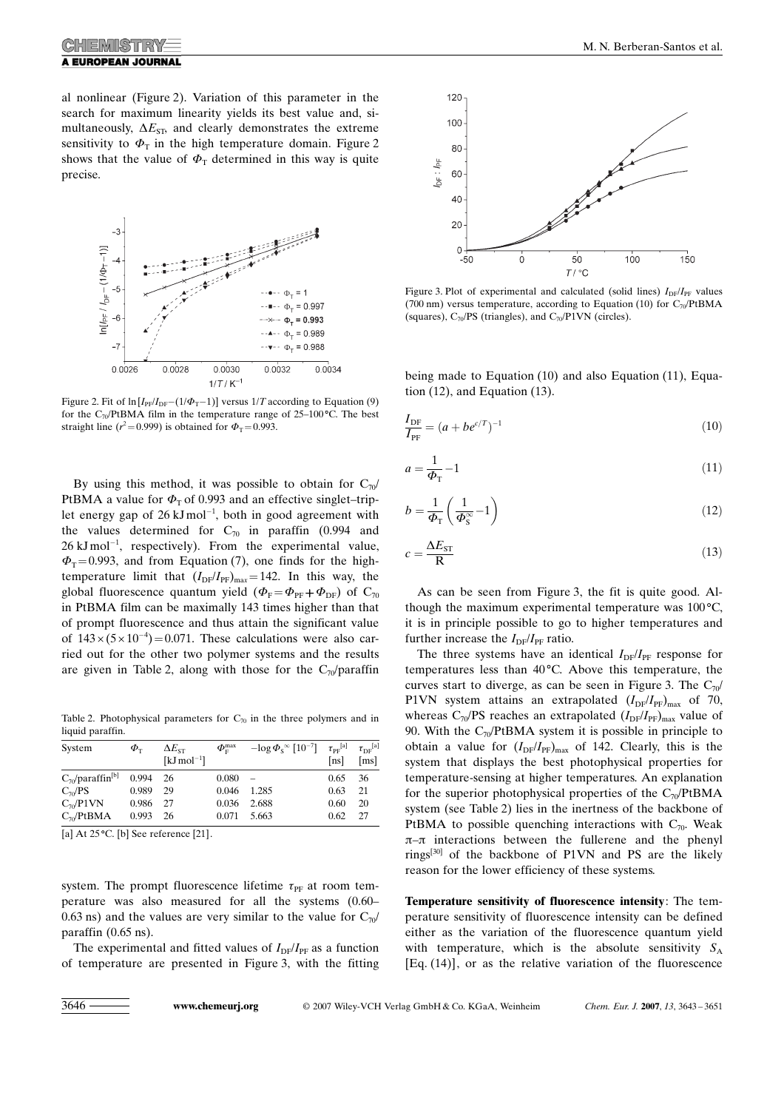al nonlinear (Figure 2). Variation of this parameter in the search for maximum linearity yields its best value and, simultaneously,  $\Delta E_{ST}$ , and clearly demonstrates the extreme sensitivity to  $\Phi$ <sub>T</sub> in the high temperature domain. Figure 2 shows that the value of  $\Phi$ <sub>T</sub> determined in this way is quite precise.



Figure 2. Fit of  $\ln [I_{PF}/I_{DF}-(1/\Phi_T-1)]$  versus 1/T according to Equation (9) for the C<sub>70</sub>/PtBMA film in the temperature range of 25–100 °C. The best straight line ( $r^2$ =0.999) is obtained for  $\Phi$ <sub>T</sub>=0.993.

By using this method, it was possible to obtain for  $C_{70}$ PtBMA a value for  $\Phi$ <sub>T</sub> of 0.993 and an effective singlet–triplet energy gap of 26  $kJ \text{ mol}^{-1}$ , both in good agreement with the values determined for  $C_{70}$  in paraffin (0.994 and  $26 \text{ kJ} \text{mol}^{-1}$ , respectively). From the experimental value,  $\Phi$ <sub>T</sub>=0.993, and from Equation (7), one finds for the hightemperature limit that  $(I_{DF}/I_{PF})_{max}=142$ . In this way, the global fluorescence quantum yield  $(\Phi_F = \Phi_{PF} + \Phi_{DF})$  of  $C_{70}$ in PtBMA film can be maximally 143 times higher than that of prompt fluorescence and thus attain the significant value of  $143 \times (5 \times 10^{-4}) = 0.071$ . These calculations were also carried out for the other two polymer systems and the results are given in Table 2, along with those for the  $C_{70}/\text{paraffin}$ 

Table 2. Photophysical parameters for  $C_{70}$  in the three polymers and in liquid paraffin.

| System                            | $\boldsymbol{\varPhi}_{\text{\tiny T}}$ | $\Delta E_{\textrm{ST}}$<br>[ $kJ$ mol <sup>-1</sup> ] | $\varPhi_{\scriptscriptstyle \mathrm{F}}^{\mathrm{max}}$ | $-\log \Phi_{\rm s}^{\,\infty}$ $[10^{-7}]$ $\tau_{\rm PF}^{\rm [a]}$ | [ns] | $\tau_{\rm DF}^{\rm [a]}$<br>$\lceil ms \rceil$ |
|-----------------------------------|-----------------------------------------|--------------------------------------------------------|----------------------------------------------------------|-----------------------------------------------------------------------|------|-------------------------------------------------|
| $C_{70}$ /paraffin <sup>[b]</sup> | 0.994                                   | - 26                                                   | 0.080                                                    |                                                                       | 0.65 | -36                                             |
| $C_{70}/PS$                       | 0.989                                   | 29                                                     | 0.046                                                    | 1.285                                                                 | 0.63 | 21                                              |
| $C_{\eta}$ /P1VN                  | 0.986                                   | -27                                                    | 0.036                                                    | 2.688                                                                 | 0.60 | 20                                              |
| $C_{70}$ /PtBMA                   | 0.993                                   | - 26                                                   | 0.071                                                    | 5.663                                                                 | 0.62 | 27                                              |

[a] At  $25^{\circ}$ C. [b] See reference [21].

system. The prompt fluorescence lifetime  $\tau_{PF}$  at room temperature was also measured for all the systems (0.60– 0.63 ns) and the values are very similar to the value for  $C_{70}$ paraffin (0.65 ns).

The experimental and fitted values of  $I_{DF}/I_{PF}$  as a function of temperature are presented in Figure 3, with the fitting



Figure 3. Plot of experimental and calculated (solid lines)  $I_{DF}/I_{PF}$  values (700 nm) versus temperature, according to Equation (10) for  $C_{70}$ /PtBMA (squares),  $C_{70}$ /PS (triangles), and  $C_{70}$ /P1VN (circles).

being made to Equation (10) and also Equation (11), Equation (12), and Equation (13).

$$
\frac{I_{\rm DF}}{I_{\rm PF}} = (a + b e^{c/T})^{-1}
$$
\n(10)

$$
a = \frac{1}{\Phi_{\rm T}} - 1\tag{11}
$$

$$
b = \frac{1}{\Phi_{\rm T}} \left( \frac{1}{\Phi_{\rm S}^{\infty}} - 1 \right) \tag{12}
$$

$$
c = \frac{\Delta E_{ST}}{R}
$$
 (13)

As can be seen from Figure 3, the fit is quite good. Although the maximum experimental temperature was  $100^{\circ}$ C, it is in principle possible to go to higher temperatures and further increase the  $I_{DF}/I_{PF}$  ratio.

The three systems have an identical  $I_{DF}/I_{PF}$  response for temperatures less than  $40^{\circ}$ C. Above this temperature, the curves start to diverge, as can be seen in Figure 3. The  $C_{70}$ / P1VN system attains an extrapolated  $(I_{DF}/I_{PF})_{max}$  of 70, whereas  $C_{70}/PS$  reaches an extrapolated  $(I_{DF}/I_{PF})_{max}$  value of 90. With the  $C_{70}$ PtBMA system it is possible in principle to obtain a value for  $(I_{DF}/I_{PF})_{max}$  of 142. Clearly, this is the system that displays the best photophysical properties for temperature-sensing at higher temperatures. An explanation for the superior photophysical properties of the  $C_{70}$ PtBMA system (see Table 2) lies in the inertness of the backbone of PtBMA to possible quenching interactions with  $C_{70}$ . Weak  $\pi$ - $\pi$  interactions between the fullerene and the phenyl rings[30] of the backbone of P1VN and PS are the likely reason for the lower efficiency of these systems.

Temperature sensitivity of fluorescence intensity: The temperature sensitivity of fluorescence intensity can be defined either as the variation of the fluorescence quantum yield with temperature, which is the absolute sensitivity  $S_A$ [Eq. (14)], or as the relative variation of the fluorescence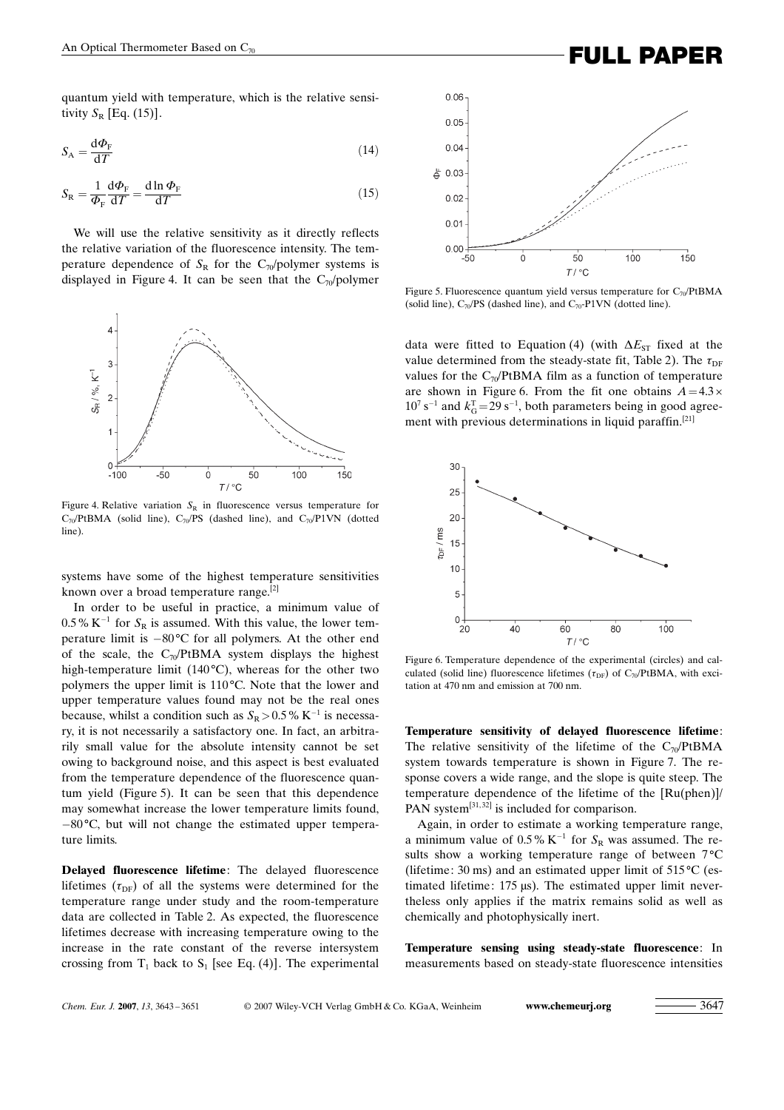quantum yield with temperature, which is the relative sensitivity  $S_R$  [Eq. (15)].

$$
S_{\rm A} = \frac{\rm d}\Phi_{\rm F}}{\rm d}T\tag{14}
$$

$$
S_{\rm R} = \frac{1}{\Phi_{\rm F}} \frac{\mathrm{d}\Phi_{\rm F}}{\mathrm{d}T} = \frac{\mathrm{d}\ln\Phi_{\rm F}}{\mathrm{d}T} \tag{15}
$$

We will use the relative sensitivity as it directly reflects the relative variation of the fluorescence intensity. The temperature dependence of  $S_R$  for the C<sub>70</sub>/polymer systems is displayed in Figure 4. It can be seen that the  $C_{70}/p$ olymer



Figure 4. Relative variation  $S_R$  in fluorescence versus temperature for  $C_{70}/PtBMA$  (solid line),  $C_{70}/PS$  (dashed line), and  $C_{70}/P1VN$  (dotted line).

systems have some of the highest temperature sensitivities known over a broad temperature range.<sup>[2]</sup>

In order to be useful in practice, a minimum value of  $0.5\%$  K<sup>-1</sup> for S<sub>R</sub> is assumed. With this value, the lower temperature limit is  $-80^{\circ}$ C for all polymers. At the other end of the scale, the  $C_{70}$ PtBMA system displays the highest high-temperature limit (140 $^{\circ}$ C), whereas for the other two polymers the upper limit is  $110^{\circ}$ C. Note that the lower and upper temperature values found may not be the real ones because, whilst a condition such as  $S_R > 0.5\%$  K<sup>-1</sup> is necessary, it is not necessarily a satisfactory one. In fact, an arbitrarily small value for the absolute intensity cannot be set owing to background noise, and this aspect is best evaluated from the temperature dependence of the fluorescence quantum yield (Figure 5). It can be seen that this dependence may somewhat increase the lower temperature limits found,  $-80^{\circ}$ C, but will not change the estimated upper temperature limits.

Delayed fluorescence lifetime: The delayed fluorescence lifetimes  $(\tau_{DF})$  of all the systems were determined for the temperature range under study and the room-temperature data are collected in Table 2. As expected, the fluorescence lifetimes decrease with increasing temperature owing to the increase in the rate constant of the reverse intersystem crossing from  $T_1$  back to  $S_1$  [see Eq. (4)]. The experimental



Figure 5. Fluorescence quantum yield versus temperature for  $C_{70}/PtBMA$ (solid line),  $C_{70}$ /PS (dashed line), and  $C_{70}$ -P1VN (dotted line).

data were fitted to Equation (4) (with  $\Delta E_{ST}$  fixed at the value determined from the steady-state fit, Table 2). The  $\tau_{\text{DF}}$ values for the  $C_{70}$ /PtBMA film as a function of temperature are shown in Figure 6. From the fit one obtains  $A=4.3 \times$  $10^7$  s<sup>-1</sup> and  $k_G^T$  = 29 s<sup>-1</sup>, both parameters being in good agreement with previous determinations in liquid paraffin.<sup>[21]</sup>



Figure 6. Temperature dependence of the experimental (circles) and calculated (solid line) fluorescence lifetimes ( $\tau_{DF}$ ) of C<sub>70</sub>/PtBMA, with excitation at 470 nm and emission at 700 nm.

Temperature sensitivity of delayed fluorescence lifetime: The relative sensitivity of the lifetime of the  $C_{70}$ /PtBMA system towards temperature is shown in Figure 7. The response covers a wide range, and the slope is quite steep. The temperature dependence of the lifetime of the [Ru(phen)]/ PAN system<sup>[31,32]</sup> is included for comparison.

Again, in order to estimate a working temperature range, a minimum value of  $0.5\%$  K<sup>-1</sup> for  $S_R$  was assumed. The results show a working temperature range of between  $7^{\circ}C$ (lifetime: 30 ms) and an estimated upper limit of  $515^{\circ}$ C (estimated lifetime:  $175 \mu s$ ). The estimated upper limit nevertheless only applies if the matrix remains solid as well as chemically and photophysically inert.

Temperature sensing using steady-state fluorescence: In measurements based on steady-state fluorescence intensities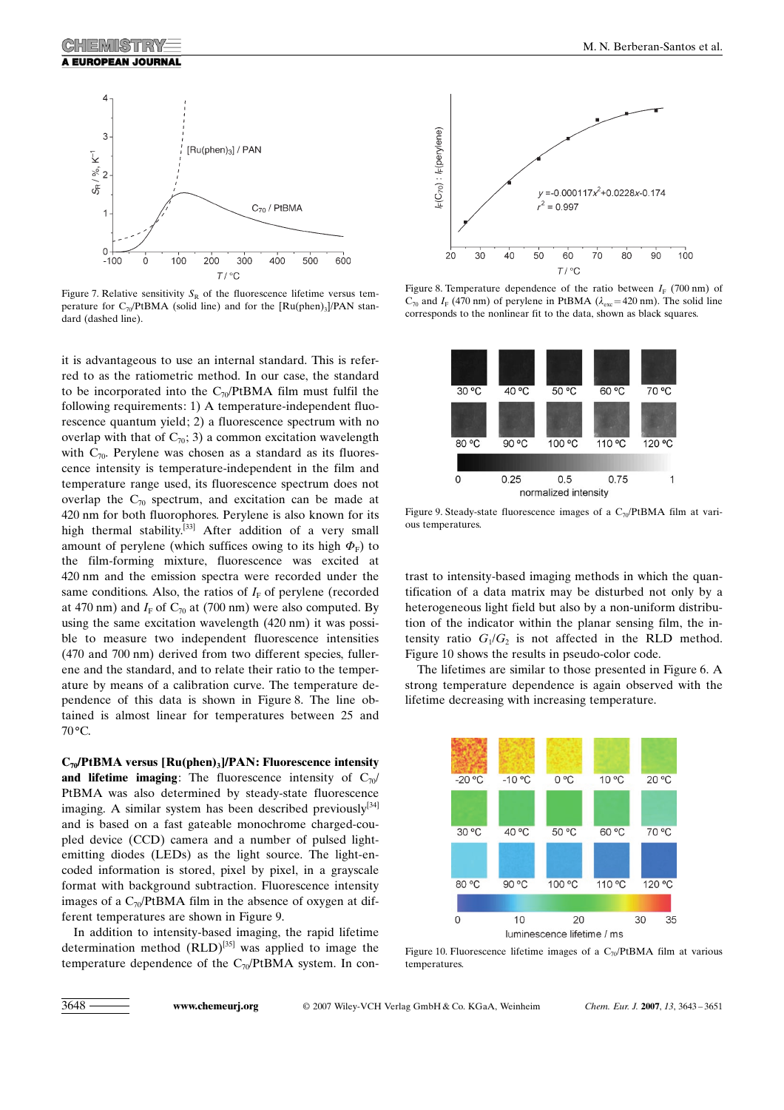

Figure 7. Relative sensitivity  $S_R$  of the fluorescence lifetime versus temperature for  $C_{70}$ /PtBMA (solid line) and for the  $\text{[Ru(phen)_3]}/\text{PAN}$  standard (dashed line).

it is advantageous to use an internal standard. This is referred to as the ratiometric method. In our case, the standard to be incorporated into the  $C_{70}/PtBMA$  film must fulfil the following requirements: 1) A temperature-independent fluorescence quantum yield; 2) a fluorescence spectrum with no overlap with that of  $C_{70}$ ; 3) a common excitation wavelength with  $C_{70}$ . Perylene was chosen as a standard as its fluorescence intensity is temperature-independent in the film and temperature range used, its fluorescence spectrum does not overlap the  $C_{70}$  spectrum, and excitation can be made at 420 nm for both fluorophores. Perylene is also known for its high thermal stability.<sup>[33]</sup> After addition of a very small amount of perylene (which suffices owing to its high  $\Phi_F$ ) to the film-forming mixture, fluorescence was excited at 420 nm and the emission spectra were recorded under the same conditions. Also, the ratios of  $I<sub>F</sub>$  of perylene (recorded at 470 nm) and  $I_F$  of  $C_{70}$  at (700 nm) were also computed. By using the same excitation wavelength (420 nm) it was possible to measure two independent fluorescence intensities (470 and 700 nm) derived from two different species, fullerene and the standard, and to relate their ratio to the temperature by means of a calibration curve. The temperature dependence of this data is shown in Figure 8. The line obtained is almost linear for temperatures between 25 and  $70^{\circ}$ C.

 $C_{70}/PtBMA$  versus  $[Ru(phen)3]/PAN$ : Fluorescence intensity and lifetime imaging: The fluorescence intensity of  $C_{70}$ / PtBMA was also determined by steady-state fluorescence imaging. A similar system has been described previously $[34]$ and is based on a fast gateable monochrome charged-coupled device (CCD) camera and a number of pulsed lightemitting diodes (LEDs) as the light source. The light-encoded information is stored, pixel by pixel, in a grayscale format with background subtraction. Fluorescence intensity images of a  $C_{70}$ PtBMA film in the absence of oxygen at different temperatures are shown in Figure 9.

In addition to intensity-based imaging, the rapid lifetime determination method  $(RLD)^{[35]}$  was applied to image the temperature dependence of the  $C_{70}/PtBMA$  system. In con-



Figure 8. Temperature dependence of the ratio between  $I_F$  (700 nm) of  $C_{70}$  and  $I_F$  (470 nm) of perylene in PtBMA ( $\lambda_{\text{exc}}$ =420 nm). The solid line corresponds to the nonlinear fit to the data, shown as black squares.



Figure 9. Steady-state fluorescence images of a  $C_{70}$ PtBMA film at various temperatures.

trast to intensity-based imaging methods in which the quantification of a data matrix may be disturbed not only by a heterogeneous light field but also by a non-uniform distribution of the indicator within the planar sensing film, the intensity ratio  $G_1/G_2$  is not affected in the RLD method. Figure 10 shows the results in pseudo-color code.

The lifetimes are similar to those presented in Figure 6. A strong temperature dependence is again observed with the lifetime decreasing with increasing temperature.



Figure 10. Fluorescence lifetime images of a  $C_{70}/PtBMA$  film at various temperatures.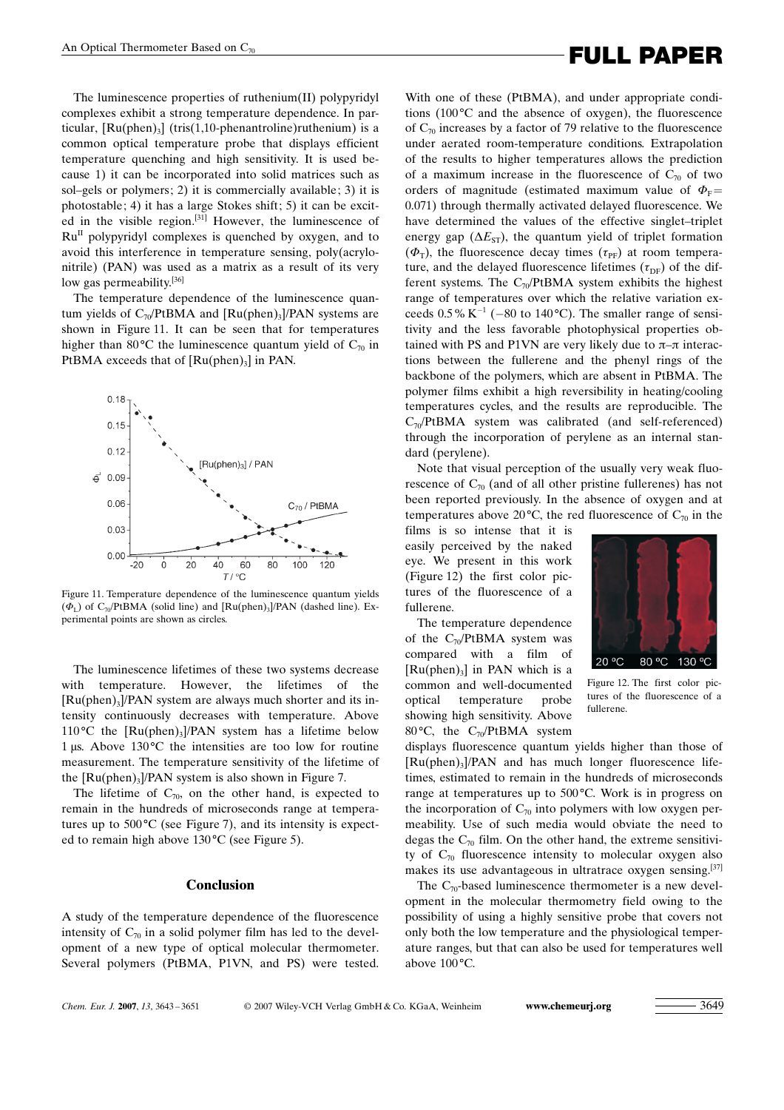# An Optical Thermometer Based on  $C_{70}$  **FULL PAPER**

The luminescence properties of ruthenium(II) polypyridyl complexes exhibit a strong temperature dependence. In particular,  $\lceil \text{Ru(phen)}_3 \rceil$  (tris(1,10-phenantroline)ruthenium) is a common optical temperature probe that displays efficient temperature quenching and high sensitivity. It is used because 1) it can be incorporated into solid matrices such as sol–gels or polymers; 2) it is commercially available; 3) it is photostable; 4) it has a large Stokes shift; 5) it can be excited in the visible region.<sup>[31]</sup> However, the luminescence of  $Ru<sup>II</sup>$  polypyridyl complexes is quenched by oxygen, and to avoid this interference in temperature sensing, poly(acrylonitrile) (PAN) was used as a matrix as a result of its very low gas permeability.<sup>[36]</sup>

The temperature dependence of the luminescence quantum yields of  $C_7$ <sub>0</sub> $P$ tBMA and [Ru(phen)<sub>3</sub>]/PAN systems are shown in Figure 11. It can be seen that for temperatures higher than 80 $^{\circ}$ C the luminescence quantum yield of C<sub>70</sub> in PtBMA exceeds that of  $[Ru(phen)_3]$  in PAN.



Figure 11. Temperature dependence of the luminescence quantum yields  $(\Phi_{I})$  of C<sub>70</sub>/PtBMA (solid line) and [Ru(phen)<sub>3</sub>]/PAN (dashed line). Experimental points are shown as circles.

The luminescence lifetimes of these two systems decrease with temperature. However, the lifetimes of the  $[Ru(phen)<sub>3</sub>]$ /PAN system are always much shorter and its intensity continuously decreases with temperature. Above 110 °C the  $[Ru(phen)_{3}]$ /PAN system has a lifetime below 1 µs. Above  $130^{\circ}$ C the intensities are too low for routine measurement. The temperature sensitivity of the lifetime of the  $[Ru(phen)3]/PAN$  system is also shown in Figure 7.

The lifetime of  $C_{70}$ , on the other hand, is expected to remain in the hundreds of microseconds range at temperatures up to  $500^{\circ}$ C (see Figure 7), and its intensity is expected to remain high above  $130^{\circ}$ C (see Figure 5).

### Conclusion

A study of the temperature dependence of the fluorescence intensity of  $C_{70}$  in a solid polymer film has led to the development of a new type of optical molecular thermometer. Several polymers (PtBMA, P1VN, and PS) were tested.

With one of these (PtBMA), and under appropriate conditions  $(100^{\circ}$ C and the absence of oxygen), the fluorescence of  $C_{70}$  increases by a factor of 79 relative to the fluorescence under aerated room-temperature conditions. Extrapolation of the results to higher temperatures allows the prediction of a maximum increase in the fluorescence of  $C_{70}$  of two orders of magnitude (estimated maximum value of  $\Phi_F=$ 0.071) through thermally activated delayed fluorescence. We have determined the values of the effective singlet–triplet energy gap ( $\Delta E_{ST}$ ), the quantum yield of triplet formation  $(\Phi_T)$ , the fluorescence decay times  $(\tau_{PF})$  at room temperature, and the delayed fluorescence lifetimes  $(\tau_{DF})$  of the different systems. The  $C_{70}$ /PtBMA system exhibits the highest range of temperatures over which the relative variation exceeds  $0.5\%$  K<sup>-1</sup> (-80 to 140 °C). The smaller range of sensitivity and the less favorable photophysical properties obtained with PS and P1VN are very likely due to  $\pi-\pi$  interactions between the fullerene and the phenyl rings of the backbone of the polymers, which are absent in PtBMA. The polymer films exhibit a high reversibility in heating/cooling temperatures cycles, and the results are reproducible. The  $C_{70}$ /PtBMA system was calibrated (and self-referenced) through the incorporation of perylene as an internal standard (perylene).

Note that visual perception of the usually very weak fluorescence of  $C_{70}$  (and of all other pristine fullerenes) has not been reported previously. In the absence of oxygen and at temperatures above 20 $\degree$ C, the red fluorescence of C<sub>70</sub> in the

films is so intense that it is easily perceived by the naked eye. We present in this work (Figure 12) the first color pictures of the fluorescence of a fullerene.

The temperature dependence of the  $C_{70}$ /PtBMA system was compared with a film of  $[Ru(phen)_3]$  in PAN which is a common and well-documented optical temperature probe showing high sensitivity. Above 80 $^{\circ}$ C, the C<sub>70</sub>/PtBMA system



Figure 12. The first color pictures of the fluorescence of a fullerene.

displays fluorescence quantum yields higher than those of  $[Ru(phen)<sub>3</sub>]$ /PAN and has much longer fluorescence lifetimes, estimated to remain in the hundreds of microseconds range at temperatures up to 500°C. Work is in progress on the incorporation of  $C_{70}$  into polymers with low oxygen permeability. Use of such media would obviate the need to degas the  $C_{70}$  film. On the other hand, the extreme sensitivity of  $C_{70}$  fluorescence intensity to molecular oxygen also makes its use advantageous in ultratrace oxygen sensing.[37]

The  $C_{70}$ -based luminescence thermometer is a new development in the molecular thermometry field owing to the possibility of using a highly sensitive probe that covers not only both the low temperature and the physiological temperature ranges, but that can also be used for temperatures well above  $100^{\circ}$ C.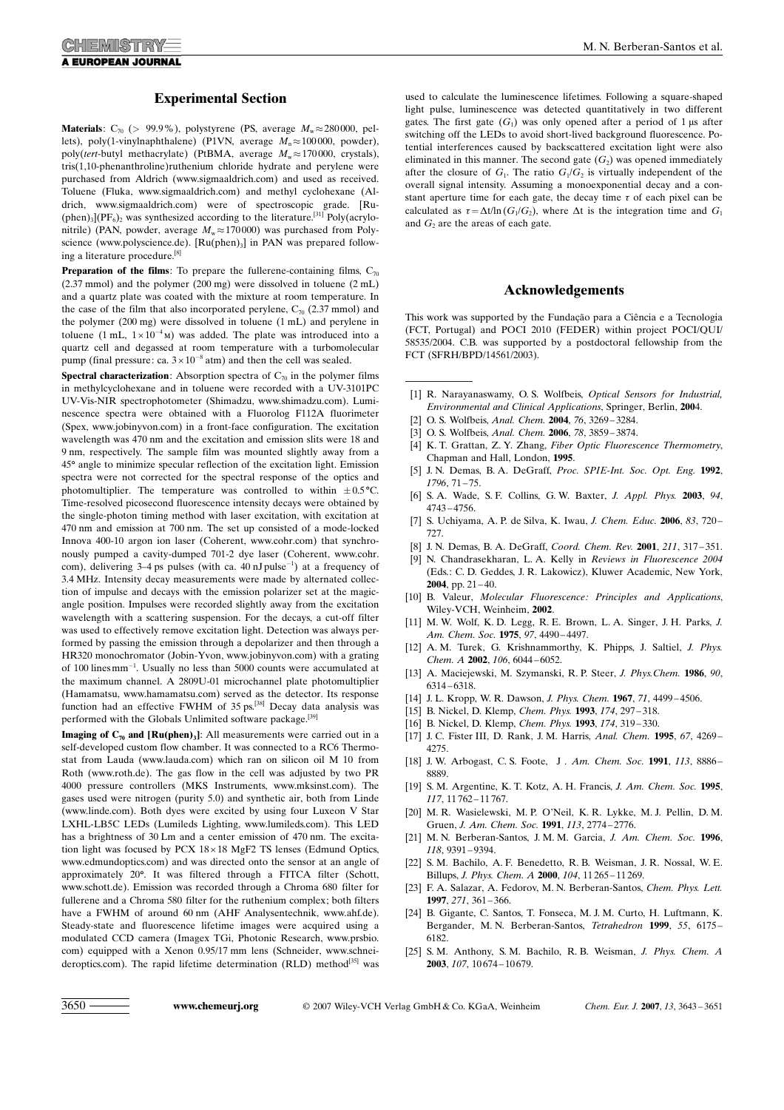#### Experimental Section

**Materials:**  $C_{70}$  (> 99.9%), polystyrene (PS, average  $M_w \approx 280000$ , pellets), poly(1-vinylnaphthalene) (P1VN, average  $M<sub>n</sub> \approx 100000$ , powder), poly(tert-butyl methacrylate) (PtBMA, average  $M_w \approx 170000$ , crystals), tris(1,10-phenanthroline)ruthenium chloride hydrate and perylene were purchased from Aldrich (www.sigmaaldrich.com) and used as received. Toluene (Fluka, www.sigmaaldrich.com) and methyl cyclohexane (Aldrich, www.sigmaaldrich.com) were of spectroscopic grade. [Ru-  $(\text{phen})_3$ ](PF<sub>6</sub>)<sub>2</sub> was synthesized according to the literature.<sup>[31]</sup> Poly(acrylonitrile) (PAN, powder, average  $M_w \approx 170000$ ) was purchased from Polyscience (www.polyscience.de). [Ru(phen)<sub>3</sub>] in PAN was prepared following a literature procedure.[8]

**Preparation of the films:** To prepare the fullerene-containing films,  $C_{70}$ (2.37 mmol) and the polymer (200 mg) were dissolved in toluene (2 mL) and a quartz plate was coated with the mixture at room temperature. In the case of the film that also incorporated perylene,  $C_{70}$  (2.37 mmol) and the polymer (200 mg) were dissolved in toluene (1 mL) and perylene in toluene (1 mL,  $1 \times 10^{-4}$  M) was added. The plate was introduced into a quartz cell and degassed at room temperature with a turbomolecular pump (final pressure: ca.  $3 \times 10^{-8}$  atm) and then the cell was sealed.

**Spectral characterization:** Absorption spectra of  $C_{70}$  in the polymer films in methylcyclohexane and in toluene were recorded with a UV-3101PC UV-Vis-NIR spectrophotometer (Shimadzu, www.shimadzu.com). Luminescence spectra were obtained with a Fluorolog F112A fluorimeter (Spex, www.jobinyvon.com) in a front-face configuration. The excitation wavelength was 470 nm and the excitation and emission slits were 18 and 9 nm, respectively. The sample film was mounted slightly away from a 45° angle to minimize specular reflection of the excitation light. Emission spectra were not corrected for the spectral response of the optics and photomultiplier. The temperature was controlled to within  $\pm 0.5^{\circ}$ C. Time-resolved picosecond fluorescence intensity decays were obtained by the single-photon timing method with laser excitation, with excitation at 470 nm and emission at 700 nm. The set up consisted of a mode-locked Innova 400-10 argon ion laser (Coherent, www.cohr.com) that synchronously pumped a cavity-dumped 701-2 dye laser (Coherent, www.cohr. com), delivering  $3-4$  ps pulses (with ca.  $40 \text{ nJ pulse}^{-1}$ ) at a frequency of 3.4 MHz. Intensity decay measurements were made by alternated collection of impulse and decays with the emission polarizer set at the magicangle position. Impulses were recorded slightly away from the excitation wavelength with a scattering suspension. For the decays, a cut-off filter was used to effectively remove excitation light. Detection was always performed by passing the emission through a depolarizer and then through a HR320 monochromator (Jobin-Yvon, www.jobinyvon.com) with a grating of 100 linesmm-1 . Usually no less than 5000 counts were accumulated at the maximum channel. A 2809U-01 microchannel plate photomultiplier (Hamamatsu, www.hamamatsu.com) served as the detector. Its response function had an effective FWHM of 35 ps.<sup>[38]</sup> Decay data analysis was performed with the Globals Unlimited software package.<sup>[39]</sup>

**Imaging of**  $C_{70}$  **and [Ru(phen)**<sub>3</sub>]: All measurements were carried out in a self-developed custom flow chamber. It was connected to a RC6 Thermostat from Lauda (www.lauda.com) which ran on silicon oil M 10 from Roth (www.roth.de). The gas flow in the cell was adjusted by two PR 4000 pressure controllers (MKS Instruments, www.mksinst.com). The gases used were nitrogen (purity 5.0) and synthetic air, both from Linde (www.linde.com). Both dyes were excited by using four Luxeon V Star LXHL-LB5C LEDs (Lumileds Lighting, www.lumileds.com). This LED has a brightness of 30 Lm and a center emission of 470 nm. The excitation light was focused by PCX  $18 \times 18$  MgF2 TS lenses (Edmund Optics, www.edmundoptics.com) and was directed onto the sensor at an angle of approximately 20°. It was filtered through a FITCA filter (Schott, www.schott.de). Emission was recorded through a Chroma 680 filter for fullerene and a Chroma 580 filter for the ruthenium complex; both filters have a FWHM of around 60 nm (AHF Analysentechnik, www.ahf.de). Steady-state and fluorescence lifetime images were acquired using a modulated CCD camera (Imagex TGi, Photonic Research, www.prsbio. com) equipped with a Xenon 0.95/17 mm lens (Schneider, www.schneideroptics.com). The rapid lifetime determination (RLD) method<sup>[35]</sup> was used to calculate the luminescence lifetimes. Following a square-shaped light pulse, luminescence was detected quantitatively in two different gates. The first gate  $(G_1)$  was only opened after a period of 1 µs after switching off the LEDs to avoid short-lived background fluorescence. Potential interferences caused by backscattered excitation light were also eliminated in this manner. The second gate  $(G_2)$  was opened immediately after the closure of  $G_1$ . The ratio  $G_1/G_2$  is virtually independent of the overall signal intensity. Assuming a monoexponential decay and a constant aperture time for each gate, the decay time  $\tau$  of each pixel can be calculated as  $\tau = \Delta t / \ln(G_1/G_2)$ , where  $\Delta t$  is the integration time and  $G_1$ and  $G<sub>2</sub>$  are the areas of each gate.

#### Acknowledgements

This work was supported by the Fundação para a Ciência e a Tecnologia (FCT, Portugal) and POCI 2010 (FEDER) within project POCI/QUI/ 58535/2004. C.B. was supported by a postdoctoral fellowship from the FCT (SFRH/BPD/14561/2003).

- [1] R. Narayanaswamy, O. S. Wolfbeis, Optical Sensors for Industrial, Environmental and Clinical Applications, Springer, Berlin, 2004.
- [2] O. S. Wolfbeis, Anal. Chem. 2004, 76, 3269-3284.
- [3] O. S. Wolfbeis, Anal. Chem. 2006, 78, 3859-3874.
- [4] K. T. Grattan, Z. Y. Zhang, Fiber Optic Fluorescence Thermometry, Chapman and Hall, London, 1995.
- [5] J. N. Demas, B. A. DeGraff, Proc. SPIE-Int. Soc. Opt. Eng. 1992, 1796, 71 – 75.
- [6] S. A. Wade, S. F. Collins, G. W. Baxter, J. Appl. Phys. 2003, 94, 4743 – 4756.
- [7] S. Uchiyama, A. P. de Silva, K. Iwau, J. Chem. Educ. 2006, 83, 720-727.
- [8] J. N. Demas, B. A. DeGraff, Coord. Chem. Rev. 2001, 211, 317-351.
- [9] N. Chandrasekharan, L. A. Kelly in Reviews in Fluorescence 2004 (Eds.: C. D. Geddes, J. R. Lakowicz), Kluwer Academic, New York, 2004, pp.  $21 - 40$ .
- [10] B. Valeur, Molecular Fluorescence: Principles and Applications, Wiley-VCH, Weinheim, 2002.
- [11] M. W. Wolf, K. D. Legg, R. E. Brown, L. A. Singer, J. H. Parks, J. Am. Chem. Soc. 1975, 97, 4490-4497.
- [12] A. M. Turek, G. Krishnammorthy, K. Phipps, J. Saltiel, J. Phys. Chem. A 2002, 106, 6044-6052.
- [13] A. Maciejewski, M. Szymanski, R. P. Steer, J. Phys. Chem. 1986, 90, 6314 – 6318.
- [14] J. L. Kropp, W. R. Dawson, J. Phys. Chem. 1967, 71, 4499-4506.
- [15] B. Nickel, D. Klemp, Chem. Phys. 1993, 174, 297-318.
- [16] B. Nickel, D. Klemp, Chem. Phys. 1993, 174, 319-330.
- [17] J. C. Fister III, D. Rank, J. M. Harris, Anal. Chem. 1995, 67, 4269-4275.
- [18] J. W. Arbogast, C. S. Foote, J. Am. Chem. Soc. 1991, 113, 8886-8889.
- [19] S. M. Argentine, K. T. Kotz, A. H. Francis, J. Am. Chem. Soc. 1995, 117, 11 762 – 11 767.
- [20] M. R. Wasielewski, M. P. O'Neil, K. R. Lykke, M. J. Pellin, D. M. Gruen, J. Am. Chem. Soc. 1991, 113, 2774 – 2776.
- [21] M. N. Berberan-Santos, J. M. M. Garcia, J. Am. Chem. Soc. 1996, 118, 9391 – 9394.
- [22] S. M. Bachilo, A. F. Benedetto, R. B. Weisman, J. R. Nossal, W. E. Billups, J. Phys. Chem. A 2000, 104, 11 265 – 11 269.
- [23] F. A. Salazar, A. Fedorov, M. N. Berberan-Santos, Chem. Phys. Lett. 1997, 271, 361 – 366.
- [24] B. Gigante, C. Santos, T. Fonseca, M. J. M. Curto, H. Luftmann, K. Bergander, M. N. Berberan-Santos, Tetrahedron 1999, 55, 6175 – 6182.
- [25] S. M. Anthony, S. M. Bachilo, R. B. Weisman, J. Phys. Chem. A 2003, 107, 10 674 – 10 679.

3650 **<www.chemeurj.org>** © 2007 Wiley-VCH Verlag GmbH & Co. KGaA, Weinheim Chem. Eur. J. 2007, 13, 3643 – 3651